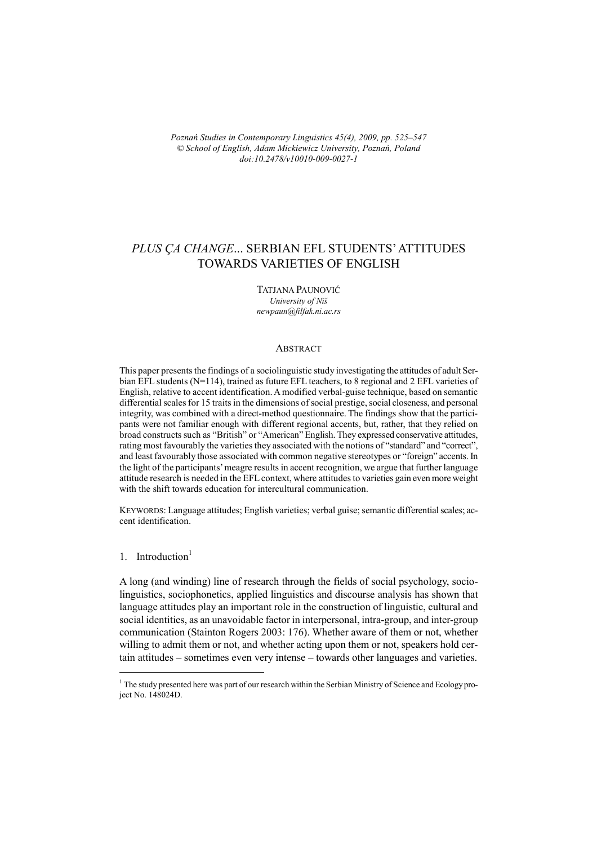*Poznań Studies in Contemporary Linguistics 45(4), 2009, pp. 525–547 © School of English, Adam Mickiewicz University, Poznań, Poland doi:10.2478/v10010-009-0027-1* 

# PLUS CA CHANGE... SERBIAN EFL STUDENTS' ATTITUDES TOWARDS VARIETIES OF ENGLISH

TATJANA PAUNOVIĆ *University of Niš newpaun@filfak.ni.ac.rs* 

#### ABSTRACT

This paper presents the findings of a sociolinguistic study investigating the attitudes of adult Serbian EFL students (N=114), trained as future EFL teachers, to 8 regional and 2 EFL varieties of English, relative to accent identification. A modified verbal-guise technique, based on semantic differential scales for 15 traits in the dimensions of social prestige, social closeness, and personal integrity, was combined with a direct-method questionnaire. The findings show that the participants were not familiar enough with different regional accents, but, rather, that they relied on broad constructs such as "British" or "American" English. They expressed conservative attitudes, rating most favourably the varieties they associated with the notions of "standard" and "correct", and least favourably those associated with common negative stereotypes or "foreign" accents. In the light of the participants' meagre results in accent recognition, we argue that further language attitude research is needed in the EFL context, where attitudes to varieties gain even more weight with the shift towards education for intercultural communication.

KEYWORDS: Language attitudes; English varieties; verbal guise; semantic differential scales; accent identification.

# 1. Introduction $1$

 $\overline{a}$ 

A long (and winding) line of research through the fields of social psychology, sociolinguistics, sociophonetics, applied linguistics and discourse analysis has shown that language attitudes play an important role in the construction of linguistic, cultural and social identities, as an unavoidable factor in interpersonal, intra-group, and inter-group communication (Stainton Rogers 2003: 176). Whether aware of them or not, whether willing to admit them or not, and whether acting upon them or not, speakers hold certain attitudes – sometimes even very intense – towards other languages and varieties.

<sup>&</sup>lt;sup>1</sup> The study presented here was part of our research within the Serbian Ministry of Science and Ecology project No. 148024D.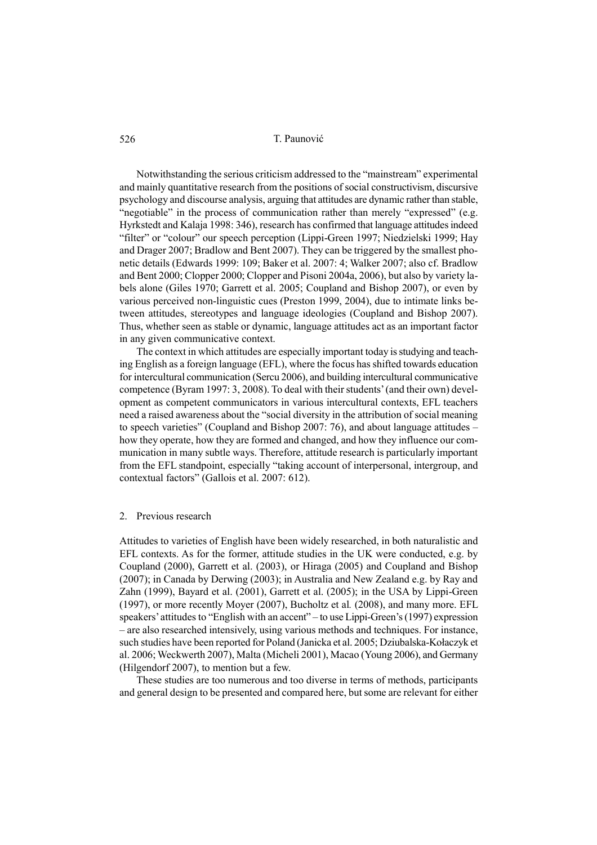Notwithstanding the serious criticism addressed to the "mainstream" experimental and mainly quantitative research from the positions of social constructivism, discursive psychology and discourse analysis, arguing that attitudes are dynamic rather than stable, "negotiable" in the process of communication rather than merely "expressed" (e.g. Hyrkstedt and Kalaja 1998: 346), research has confirmed that language attitudes indeed "filter" or "colour" our speech perception (Lippi-Green 1997; Niedzielski 1999; Hay and Drager 2007; Bradlow and Bent 2007). They can be triggered by the smallest phonetic details (Edwards 1999: 109; Baker et al. 2007: 4; Walker 2007; also cf. Bradlow and Bent 2000; Clopper 2000; Clopper and Pisoni 2004a, 2006), but also by variety labels alone (Giles 1970; Garrett et al. 2005; Coupland and Bishop 2007), or even by various perceived non-linguistic cues (Preston 1999, 2004), due to intimate links between attitudes, stereotypes and language ideologies (Coupland and Bishop 2007). Thus, whether seen as stable or dynamic, language attitudes act as an important factor in any given communicative context.

The context in which attitudes are especially important today is studying and teaching English as a foreign language (EFL), where the focus has shifted towards education for intercultural communication (Sercu 2006), and building intercultural communicative competence (Byram 1997: 3, 2008). To deal with their students' (and their own) development as competent communicators in various intercultural contexts, EFL teachers need a raised awareness about the "social diversity in the attribution of social meaning to speech varieties" (Coupland and Bishop 2007: 76), and about language attitudes – how they operate, how they are formed and changed, and how they influence our communication in many subtle ways. Therefore, attitude research is particularly important from the EFL standpoint, especially "taking account of interpersonal, intergroup, and contextual factors" (Gallois et al. 2007: 612).

#### 2. Previous research

Attitudes to varieties of English have been widely researched, in both naturalistic and EFL contexts. As for the former, attitude studies in the UK were conducted, e.g. by Coupland (2000), Garrett et al. (2003), or Hiraga (2005) and Coupland and Bishop (2007); in Canada by Derwing (2003); in Australia and New Zealand e.g. by Ray and Zahn (1999), Bayard et al. (2001), Garrett et al. (2005); in the USA by Lippi-Green (1997), or more recently Moyer (2007), Bucholtz et al*.* (2008), and many more. EFL speakers' attitudes to "English with an accent" – to use Lippi-Green's (1997) expression – are also researched intensively, using various methods and techniques. For instance, such studies have been reported for Poland (Janicka et al. 2005; Dziubalska-Kołaczyk et al. 2006; Weckwerth 2007), Malta (Micheli 2001), Macao (Young 2006), and Germany (Hilgendorf 2007), to mention but a few.

These studies are too numerous and too diverse in terms of methods, participants and general design to be presented and compared here, but some are relevant for either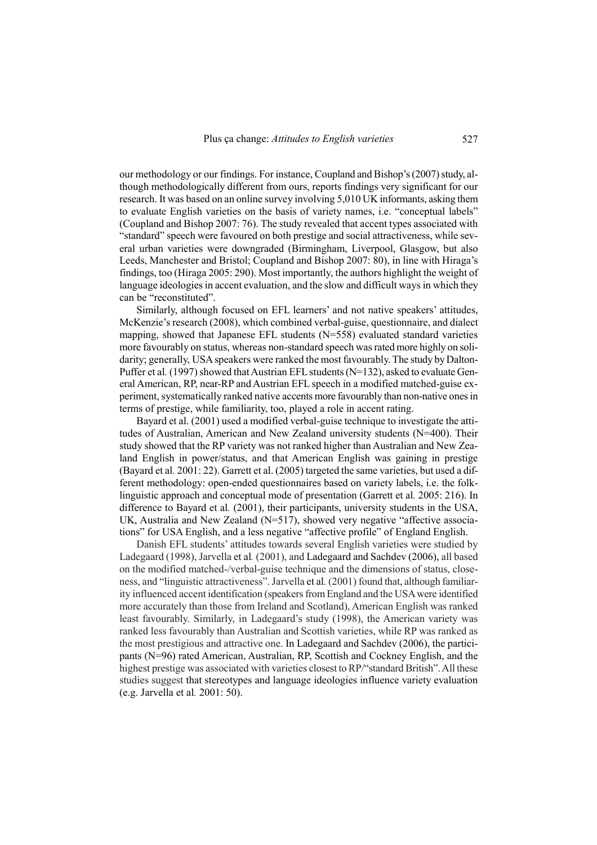our methodology or our findings. For instance, Coupland and Bishop's (2007) study, although methodologically different from ours, reports findings very significant for our research. It was based on an online survey involving 5,010 UK informants, asking them to evaluate English varieties on the basis of variety names, i.e. "conceptual labels" (Coupland and Bishop 2007: 76). The study revealed that accent types associated with "standard" speech were favoured on both prestige and social attractiveness, while several urban varieties were downgraded (Birmingham, Liverpool, Glasgow, but also Leeds, Manchester and Bristol; Coupland and Bishop 2007: 80), in line with Hiraga's findings, too (Hiraga 2005: 290). Most importantly, the authors highlight the weight of language ideologies in accent evaluation, and the slow and difficult ways in which they can be "reconstituted".

Similarly, although focused on EFL learners' and not native speakers' attitudes, McKenzie's research (2008), which combined verbal-guise, questionnaire, and dialect mapping, showed that Japanese EFL students (N=558) evaluated standard varieties more favourably on status, whereas non-standard speech was rated more highly on solidarity; generally, USA speakers were ranked the most favourably. The study by Dalton-Puffer et al*.* (1997) showed that Austrian EFL students (N=132), asked to evaluate General American, RP, near-RP and Austrian EFL speech in a modified matched-guise experiment, systematically ranked native accents more favourably than non-native ones in terms of prestige, while familiarity, too, played a role in accent rating.

Bayard et al. (2001) used a modified verbal-guise technique to investigate the attitudes of Australian, American and New Zealand university students (N=400). Their study showed that the RP variety was not ranked higher than Australian and New Zealand English in power/status, and that American English was gaining in prestige (Bayard et al*.* 2001: 22). Garrett et al. (2005) targeted the same varieties, but used a different methodology: open-ended questionnaires based on variety labels, i.e. the folklinguistic approach and conceptual mode of presentation (Garrett et al*.* 2005: 216). In difference to Bayard et al*.* (2001), their participants, university students in the USA, UK, Australia and New Zealand (N=517), showed very negative "affective associations" for USA English, and a less negative "affective profile" of England English.

Danish EFL students' attitudes towards several English varieties were studied by Ladegaard (1998), Jarvella et al*.* (2001), and Ladegaard and Sachdev (2006), all based on the modified matched-/verbal-guise technique and the dimensions of status, closeness, and "linguistic attractiveness". Jarvella et al*.* (2001) found that, although familiarity influenced accent identification (speakers from England and the USA were identified more accurately than those from Ireland and Scotland), American English was ranked least favourably. Similarly, in Ladegaard's study (1998), the American variety was ranked less favourably than Australian and Scottish varieties, while RP was ranked as the most prestigious and attractive one. In Ladegaard and Sachdev (2006), the participants (N=96) rated American, Australian, RP, Scottish and Cockney English, and the highest prestige was associated with varieties closest to RP/"standard British". All these studies suggest that stereotypes and language ideologies influence variety evaluation (e.g. Jarvella et al*.* 2001: 50).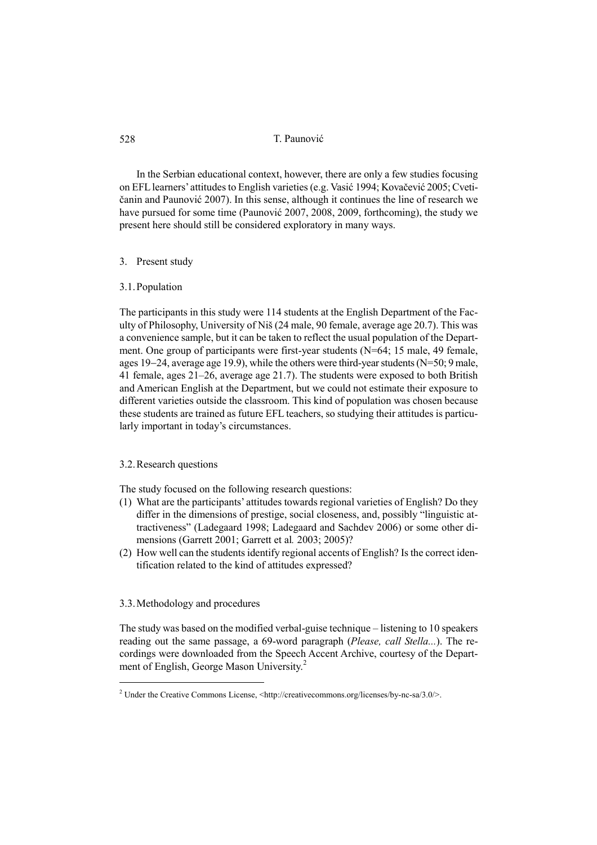In the Serbian educational context, however, there are only a few studies focusing on EFL learners' attitudes to English varieties (e.g. Vasić 1994; Kovačević 2005; Cvetičanin and Paunović 2007). In this sense, although it continues the line of research we have pursued for some time (Paunović 2007, 2008, 2009, forthcoming), the study we present here should still be considered exploratory in many ways.

# 3. Present study

### 3.1. Population

The participants in this study were 114 students at the English Department of the Faculty of Philosophy, University of Niš (24 male, 90 female, average age 20.7). This was a convenience sample, but it can be taken to reflect the usual population of the Department. One group of participants were first-year students (N=64; 15 male, 49 female, ages 19−24, average age 19.9), while the others were third-year students (N=50; 9 male, 41 female, ages 21–26, average age 21.7). The students were exposed to both British and American English at the Department, but we could not estimate their exposure to different varieties outside the classroom. This kind of population was chosen because these students are trained as future EFL teachers, so studying their attitudes is particularly important in today's circumstances.

#### 3.2. Research questions

The study focused on the following research questions:

- (1) What are the participants' attitudes towards regional varieties of English? Do they differ in the dimensions of prestige, social closeness, and, possibly "linguistic attractiveness" (Ladegaard 1998; Ladegaard and Sachdev 2006) or some other dimensions (Garrett 2001; Garrett et al*.* 2003; 2005)?
- (2) How well can the students identify regional accents of English? Is the correct identification related to the kind of attitudes expressed?

# 3.3. Methodology and procedures

 $\overline{a}$ 

The study was based on the modified verbal-guise technique – listening to 10 speakers reading out the same passage, a 69-word paragraph (*Please, call Stella...*). The recordings were downloaded from the Speech Accent Archive, courtesy of the Department of English, George Mason University.<sup>2</sup>

<sup>&</sup>lt;sup>2</sup> Under the Creative Commons License, <http://creativecommons.org/licenses/by-nc-sa/3.0/>.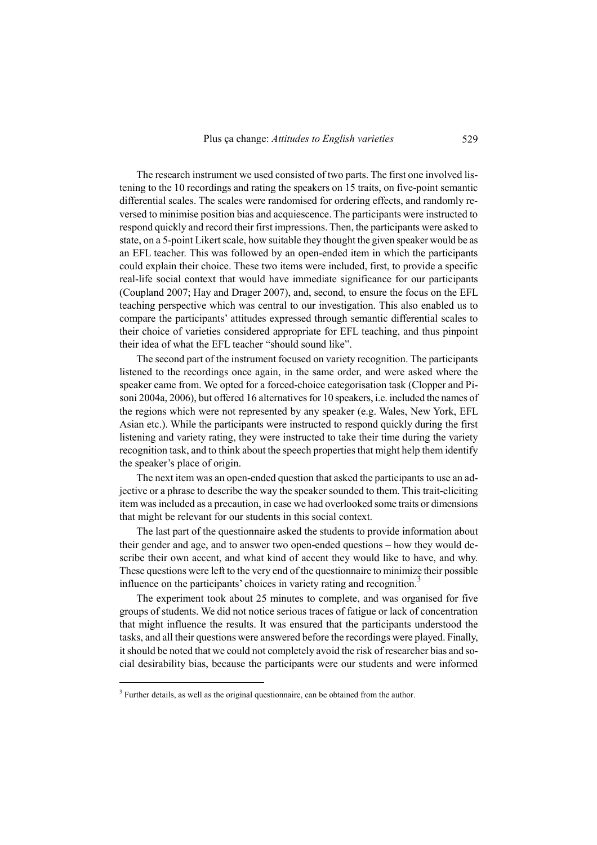The research instrument we used consisted of two parts. The first one involved listening to the 10 recordings and rating the speakers on 15 traits, on five-point semantic differential scales. The scales were randomised for ordering effects, and randomly reversed to minimise position bias and acquiescence. The participants were instructed to respond quickly and record their first impressions. Then, the participants were asked to state, on a 5-point Likert scale, how suitable they thought the given speaker would be as an EFL teacher. This was followed by an open-ended item in which the participants could explain their choice. These two items were included, first, to provide a specific real-life social context that would have immediate significance for our participants (Coupland 2007; Hay and Drager 2007), and, second, to ensure the focus on the EFL teaching perspective which was central to our investigation. This also enabled us to compare the participants' attitudes expressed through semantic differential scales to their choice of varieties considered appropriate for EFL teaching, and thus pinpoint their idea of what the EFL teacher "should sound like".

The second part of the instrument focused on variety recognition. The participants listened to the recordings once again, in the same order, and were asked where the speaker came from. We opted for a forced-choice categorisation task (Clopper and Pisoni 2004a, 2006), but offered 16 alternatives for 10 speakers, i.e. included the names of the regions which were not represented by any speaker (e.g. Wales, New York, EFL Asian etc.). While the participants were instructed to respond quickly during the first listening and variety rating, they were instructed to take their time during the variety recognition task, and to think about the speech properties that might help them identify the speaker's place of origin.

The next item was an open-ended question that asked the participants to use an adjective or a phrase to describe the way the speaker sounded to them. This trait-eliciting item was included as a precaution, in case we had overlooked some traits or dimensions that might be relevant for our students in this social context.

The last part of the questionnaire asked the students to provide information about their gender and age, and to answer two open-ended questions – how they would describe their own accent, and what kind of accent they would like to have, and why. These questions were left to the very end of the questionnaire to minimize their possible influence on the participants' choices in variety rating and recognition.<sup>3</sup>

The experiment took about 25 minutes to complete, and was organised for five groups of students. We did not notice serious traces of fatigue or lack of concentration that might influence the results. It was ensured that the participants understood the tasks, and all their questions were answered before the recordings were played. Finally, it should be noted that we could not completely avoid the risk of researcher bias and social desirability bias, because the participants were our students and were informed

<sup>&</sup>lt;sup>3</sup> Further details, as well as the original questionnaire, can be obtained from the author.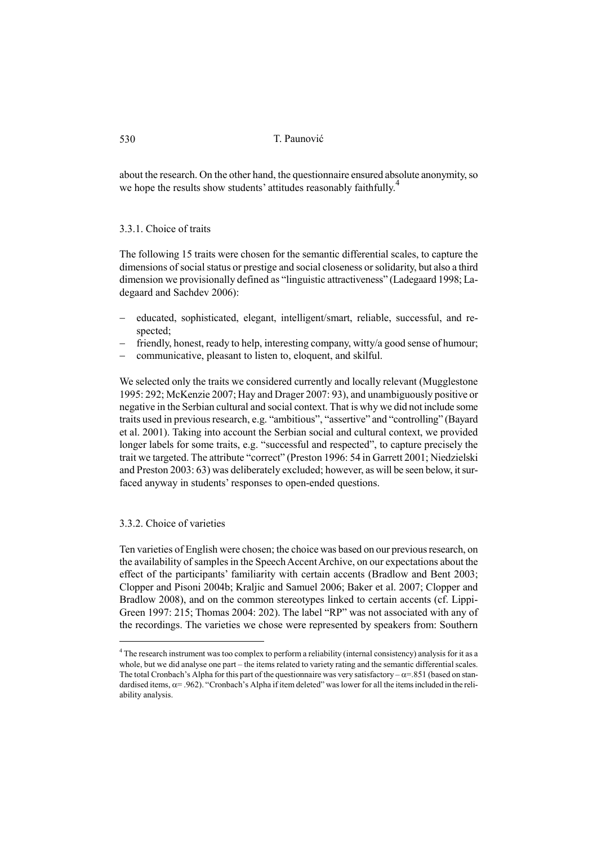about the research. On the other hand, the questionnaire ensured absolute anonymity, so we hope the results show students' attitudes reasonably faithfully.<sup>4</sup>

## 3.3.1. Choice of traits

The following 15 traits were chosen for the semantic differential scales, to capture the dimensions of social status or prestige and social closeness or solidarity, but also a third dimension we provisionally defined as "linguistic attractiveness" (Ladegaard 1998; Ladegaard and Sachdev 2006):

- educated, sophisticated, elegant, intelligent/smart, reliable, successful, and respected;
- friendly, honest, ready to help, interesting company, witty/a good sense of humour;
- communicative, pleasant to listen to, eloquent, and skilful.

We selected only the traits we considered currently and locally relevant (Mugglestone 1995: 292; McKenzie 2007; Hay and Drager 2007: 93), and unambiguously positive or negative in the Serbian cultural and social context. That is why we did not include some traits used in previous research, e.g. "ambitious", "assertive" and "controlling" (Bayard et al. 2001). Taking into account the Serbian social and cultural context, we provided longer labels for some traits, e.g. "successful and respected", to capture precisely the trait we targeted. The attribute "correct" (Preston 1996: 54 in Garrett 2001; Niedzielski and Preston 2003: 63) was deliberately excluded; however, as will be seen below, it surfaced anyway in students' responses to open-ended questions.

## 3.3.2. Choice of varieties

 $\overline{a}$ 

Ten varieties of English were chosen; the choice was based on our previous research, on the availability of samples in the Speech Accent Archive, on our expectations about the effect of the participants' familiarity with certain accents (Bradlow and Bent 2003; Clopper and Pisoni 2004b; Kraljic and Samuel 2006; Baker et al. 2007; Clopper and Bradlow 2008), and on the common stereotypes linked to certain accents (cf. Lippi-Green 1997: 215; Thomas 2004: 202). The label "RP" was not associated with any of the recordings. The varieties we chose were represented by speakers from: Southern

<sup>&</sup>lt;sup>4</sup> The research instrument was too complex to perform a reliability (internal consistency) analysis for it as a whole, but we did analyse one part – the items related to variety rating and the semantic differential scales. The total Cronbach's Alpha for this part of the questionnaire was very satisfactory –  $\alpha$ =.851 (based on standardised items,  $\alpha$  = .962). "Cronbach's Alpha if item deleted" was lower for all the items included in the reliability analysis.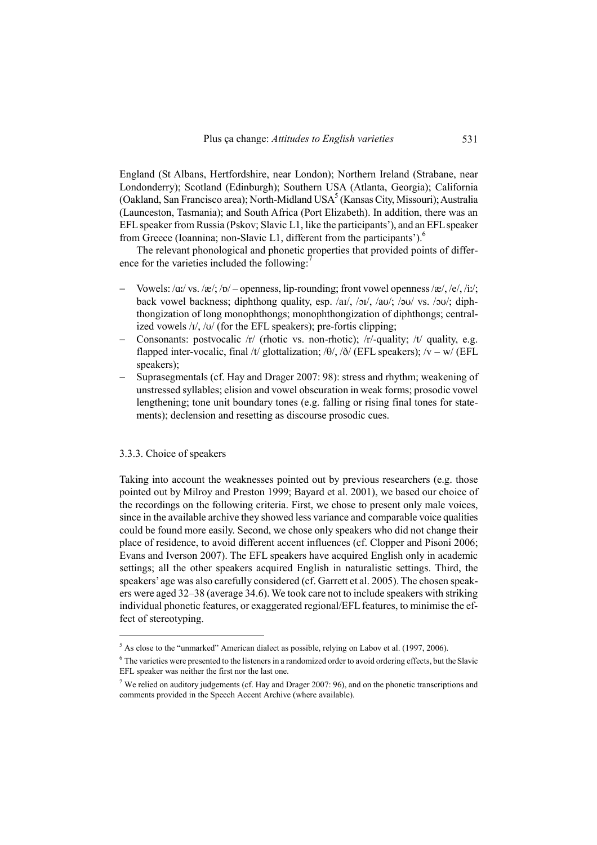England (St Albans, Hertfordshire, near London); Northern Ireland (Strabane, near Londonderry); Scotland (Edinburgh); Southern USA (Atlanta, Georgia); California (Oakland, San Francisco area); North-Midland USA<sup>5</sup> (Kansas City, Missouri); Australia (Launceston, Tasmania); and South Africa (Port Elizabeth). In addition, there was an EFL speaker from Russia (Pskov; Slavic L1, like the participants'), and an EFL speaker from Greece (Ioannina; non-Slavic L1, different from the participants').<sup>6</sup>

The relevant phonological and phonetic properties that provided points of difference for the varieties included the following:

- Vowels: / $\alpha$ :/ vs. /æ/; / $\alpha$ / openness, lip-rounding; front vowel openness /æ/, /e/, /iː/; back vowel backness; diphthong quality, esp. /aɪ/, /ɔɪ/, /aʊ/; /əʊ/ vs. /ɔʊ/; diphthongization of long monophthongs; monophthongization of diphthongs; centralized vowels  $\frac{1}{\sqrt{2}}$ ,  $\frac{1}{\sqrt{2}}$  (for the EFL speakers); pre-fortis clipping;
- − Consonants: postvocalic /r/ (rhotic vs. non-rhotic); /r/-quality; /t/ quality, e.g. flapped inter-vocalic, final /t/ glottalization; /θ/, /ð/ (EFL speakers); /v – w/ (EFL speakers);
- Suprasegmentals (cf. Hay and Drager 2007: 98): stress and rhythm; weakening of unstressed syllables; elision and vowel obscuration in weak forms; prosodic vowel lengthening; tone unit boundary tones (e.g. falling or rising final tones for statements); declension and resetting as discourse prosodic cues.

## 3.3.3. Choice of speakers

 $\overline{a}$ 

Taking into account the weaknesses pointed out by previous researchers (e.g. those pointed out by Milroy and Preston 1999; Bayard et al. 2001), we based our choice of the recordings on the following criteria. First, we chose to present only male voices, since in the available archive they showed less variance and comparable voice qualities could be found more easily. Second, we chose only speakers who did not change their place of residence, to avoid different accent influences (cf. Clopper and Pisoni 2006; Evans and Iverson 2007). The EFL speakers have acquired English only in academic settings; all the other speakers acquired English in naturalistic settings. Third, the speakers' age was also carefully considered (cf. Garrett et al. 2005). The chosen speakers were aged 32–38 (average 34.6). We took care not to include speakers with striking individual phonetic features, or exaggerated regional/EFL features, to minimise the effect of stereotyping.

 $<sup>5</sup>$  As close to the "unmarked" American dialect as possible, relying on Labov et al. (1997, 2006).</sup>

<sup>&</sup>lt;sup>6</sup> The varieties were presented to the listeners in a randomized order to avoid ordering effects, but the Slavic EFL speaker was neither the first nor the last one.

<sup>&</sup>lt;sup>7</sup> We relied on auditory judgements (cf. Hay and Drager 2007: 96), and on the phonetic transcriptions and comments provided in the Speech Accent Archive (where available).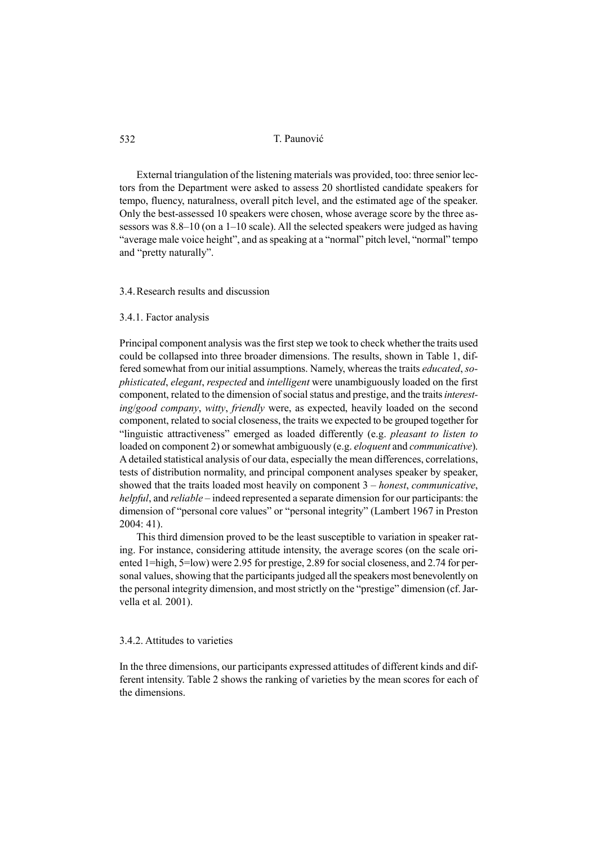External triangulation of the listening materials was provided, too: three senior lectors from the Department were asked to assess 20 shortlisted candidate speakers for tempo, fluency, naturalness, overall pitch level, and the estimated age of the speaker. Only the best-assessed 10 speakers were chosen, whose average score by the three assessors was 8.8–10 (on a 1–10 scale). All the selected speakers were judged as having "average male voice height", and as speaking at a "normal" pitch level, "normal" tempo and "pretty naturally".

### 3.4. Research results and discussion

#### 3.4.1. Factor analysis

Principal component analysis was the first step we took to check whether the traits used could be collapsed into three broader dimensions. The results, shown in Table 1, differed somewhat from our initial assumptions. Namely, whereas the traits *educated*, *sophisticated*, *elegant*, *respected* and *intelligent* were unambiguously loaded on the first component, related to the dimension of social status and prestige, and the traits *interesting*/*good company*, *witty*, *friendly* were, as expected, heavily loaded on the second component, related to social closeness, the traits we expected to be grouped together for "linguistic attractiveness" emerged as loaded differently (e.g. *pleasant to listen to* loaded on component 2) or somewhat ambiguously (e.g. *eloquent* and *communicative*). A detailed statistical analysis of our data, especially the mean differences, correlations, tests of distribution normality, and principal component analyses speaker by speaker, showed that the traits loaded most heavily on component 3 – *honest*, *communicative*, *helpful*, and *reliable* – indeed represented a separate dimension for our participants: the dimension of "personal core values" or "personal integrity" (Lambert 1967 in Preston 2004: 41).

This third dimension proved to be the least susceptible to variation in speaker rating. For instance, considering attitude intensity, the average scores (on the scale oriented 1=high, 5=low) were 2.95 for prestige, 2.89 for social closeness, and 2.74 for personal values, showing that the participants judged all the speakers most benevolently on the personal integrity dimension, and most strictly on the "prestige" dimension (cf. Jarvella et al*.* 2001).

# 3.4.2. Attitudes to varieties

In the three dimensions, our participants expressed attitudes of different kinds and different intensity. Table 2 shows the ranking of varieties by the mean scores for each of the dimensions.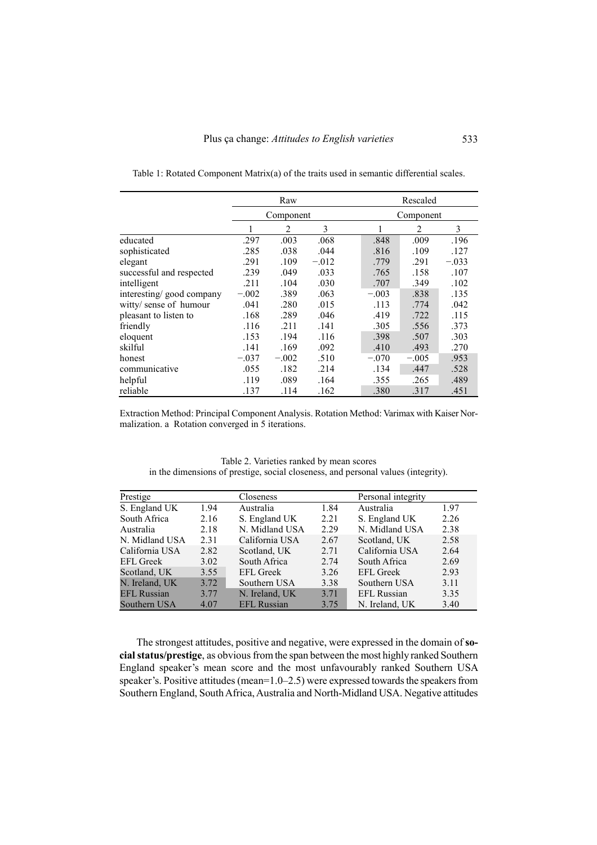|                          |         | Raw       |         | Rescaled  |                |         |  |  |
|--------------------------|---------|-----------|---------|-----------|----------------|---------|--|--|
|                          |         | Component |         | Component |                |         |  |  |
|                          | 1       | 2         | 3       | 1         | $\overline{c}$ | 3       |  |  |
| educated                 | .297    | .003      | .068    | .848      | .009           | .196    |  |  |
| sophisticated            | .285    | .038      | .044    | .816      | .109           | .127    |  |  |
| elegant                  | .291    | .109      | $-.012$ | .779      | .291           | $-.033$ |  |  |
| successful and respected | .239    | .049      | .033    | .765      | .158           | .107    |  |  |
| intelligent              | .211    | .104      | .030    | .707      | .349           | .102    |  |  |
| interesting/good company | $-.002$ | .389      | .063    | $-.003$   | .838           | .135    |  |  |
| witty/ sense of humour   | .041    | .280      | .015    | .113      | .774           | .042    |  |  |
| pleasant to listen to    | .168    | .289      | .046    | .419      | .722           | .115    |  |  |
| friendly                 | .116    | .211      | .141    | .305      | .556           | .373    |  |  |
| eloquent                 | .153    | .194      | .116    | .398      | .507           | .303    |  |  |
| skilful                  | .141    | .169      | .092    | .410      | .493           | .270    |  |  |
| honest                   | $-.037$ | $-.002$   | .510    | $-.070$   | $-.005$        | .953    |  |  |
| communicative            | .055    | .182      | .214    | .134      | .447           | .528    |  |  |
| helpful                  | .119    | .089      | .164    | .355      | .265           | .489    |  |  |
| reliable                 | .137    | .114      | .162    | .380      | .317           | .451    |  |  |

Table 1: Rotated Component Matrix(a) of the traits used in semantic differential scales.

Extraction Method: Principal Component Analysis. Rotation Method: Varimax with Kaiser Normalization. a Rotation converged in 5 iterations.

| Prestige           |      | <b>Closeness</b> |      | Personal integrity |      |
|--------------------|------|------------------|------|--------------------|------|
| S. England UK      | 1.94 | Australia        | 1.84 | Australia          | 1.97 |
| South Africa       | 2.16 | S. England UK    | 2.21 | S. England UK      | 2.26 |
| Australia          | 2.18 | N. Midland USA   | 2.29 | N. Midland USA     | 2.38 |
| N. Midland USA     | 2.31 | California USA   | 2.67 | Scotland, UK       | 2.58 |
| California USA     | 2.82 | Scotland, UK     | 2.71 | California USA     | 2.64 |
| <b>EFL Greek</b>   | 3.02 | South Africa     | 2.74 | South Africa       | 2.69 |
| Scotland, UK       | 3.55 | <b>EFL Greek</b> | 3.26 | <b>EFL Greek</b>   | 2.93 |
| N. Ireland, UK     | 3.72 | Southern USA     | 3.38 | Southern USA       | 3.11 |
| <b>EFL Russian</b> | 3.77 | N. Ireland, UK   | 3.71 | <b>EFL Russian</b> | 3.35 |
| Southern USA       | 4.07 | EFL Russian      | 3.75 | N. Ireland, UK     | 3.40 |

Table 2. Varieties ranked by mean scores in the dimensions of prestige, social closeness, and personal values (integrity).

The strongest attitudes, positive and negative, were expressed in the domain of **social status/prestige**, as obvious from the span between the most highly ranked Southern England speaker's mean score and the most unfavourably ranked Southern USA speaker's. Positive attitudes (mean=1.0–2.5) were expressed towards the speakers from Southern England, South Africa, Australia and North-Midland USA. Negative attitudes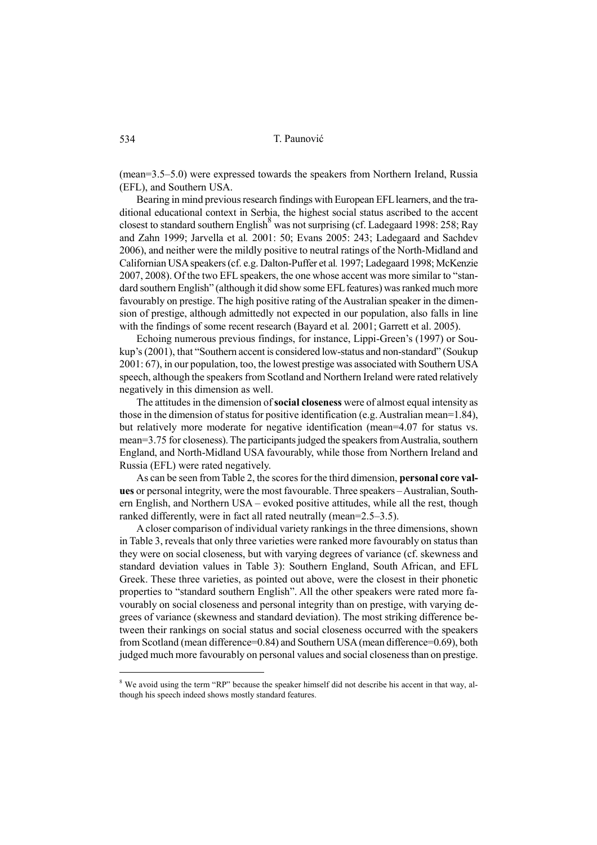(mean=3.5–5.0) were expressed towards the speakers from Northern Ireland, Russia (EFL), and Southern USA.

Bearing in mind previous research findings with European EFL learners, and the traditional educational context in Serbia, the highest social status ascribed to the accent closest to standard southern English<sup>8</sup> was not surprising (cf. Ladegaard 1998: 258; Ray and Zahn 1999; Jarvella et al*.* 2001: 50; Evans 2005: 243; Ladegaard and Sachdev 2006), and neither were the mildly positive to neutral ratings of the North-Midland and Californian USA speakers (cf. e.g. Dalton-Puffer et al*.* 1997; Ladegaard 1998; McKenzie 2007, 2008). Of the two EFL speakers, the one whose accent was more similar to "standard southern English" (although it did show some EFL features) was ranked much more favourably on prestige. The high positive rating of the Australian speaker in the dimension of prestige, although admittedly not expected in our population, also falls in line with the findings of some recent research (Bayard et al*.* 2001; Garrett et al. 2005).

Echoing numerous previous findings, for instance, Lippi-Green's (1997) or Soukup's (2001), that "Southern accent is considered low-status and non-standard" (Soukup 2001: 67), in our population, too, the lowest prestige was associated with Southern USA speech, although the speakers from Scotland and Northern Ireland were rated relatively negatively in this dimension as well.

The attitudes in the dimension of **social closeness** were of almost equal intensity as those in the dimension of status for positive identification (e.g. Australian mean=1.84), but relatively more moderate for negative identification (mean=4.07 for status vs. mean=3.75 for closeness). The participants judged the speakers from Australia, southern England, and North-Midland USA favourably, while those from Northern Ireland and Russia (EFL) were rated negatively.

As can be seen from Table 2, the scores for the third dimension, **personal core values** or personal integrity, were the most favourable. Three speakers – Australian, Southern English, and Northern USA – evoked positive attitudes, while all the rest, though ranked differently, were in fact all rated neutrally (mean=2.5–3.5).

A closer comparison of individual variety rankings in the three dimensions, shown in Table 3, reveals that only three varieties were ranked more favourably on status than they were on social closeness, but with varying degrees of variance (cf. skewness and standard deviation values in Table 3): Southern England, South African, and EFL Greek. These three varieties, as pointed out above, were the closest in their phonetic properties to "standard southern English". All the other speakers were rated more favourably on social closeness and personal integrity than on prestige, with varying degrees of variance (skewness and standard deviation). The most striking difference between their rankings on social status and social closeness occurred with the speakers from Scotland (mean difference=0.84) and Southern USA (mean difference=0.69), both judged much more favourably on personal values and social closeness than on prestige.

<sup>&</sup>lt;sup>8</sup> We avoid using the term "RP" because the speaker himself did not describe his accent in that way, although his speech indeed shows mostly standard features.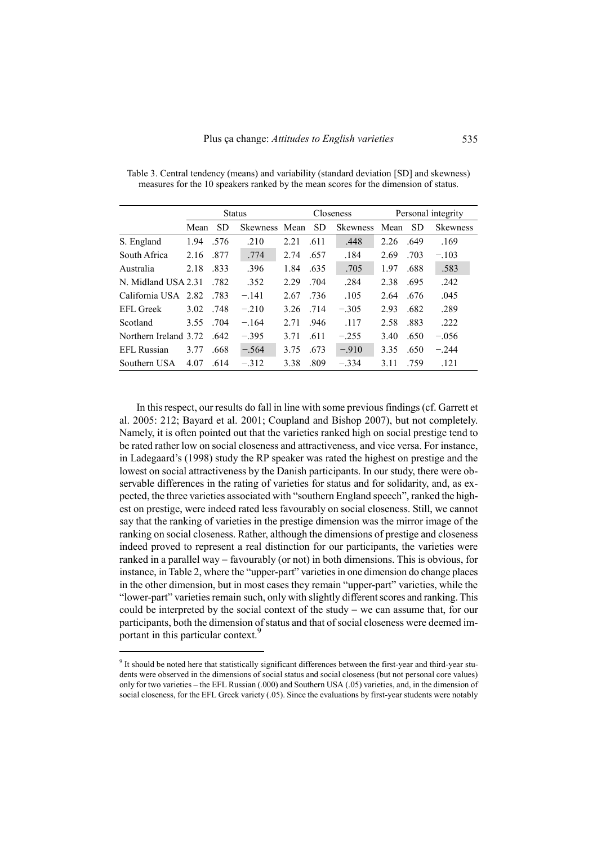|                      |      | <b>Status</b> |               |      | Closeness |                 | Personal integrity |      |                 |  |
|----------------------|------|---------------|---------------|------|-----------|-----------------|--------------------|------|-----------------|--|
|                      | Mean | SD.           | Skewness Mean |      | <b>SD</b> | <b>Skewness</b> | Mean               | SD   | <b>Skewness</b> |  |
| S. England           | 1.94 | .576          | .210          | 2.21 | .611      | .448            | 2.26               | .649 | .169            |  |
| South Africa         | 2.16 | .877          | .774          | 2.74 | .657      | .184            | 2.69               | .703 | $-.103$         |  |
| Australia            | 2.18 | .833          | .396          | 1.84 | .635      | .705            | 1.97               | .688 | .583            |  |
| N. Midland USA 2.31  |      | .782          | 352           | 2.29 | .704      | .284            | 2.38               | .695 | .242            |  |
| California USA 2.82  |      | .783          | $-.141$       | 2.67 | .736      | .105            | 2.64               | .676 | .045            |  |
| EFL Greek            | 3.02 | .748          | $-.210$       | 3.26 | .714      | $-.305$         | 2.93               | .682 | .289            |  |
| Scotland             | 3.55 | .704          | $-.164$       | 2.71 | .946      | .117            | 2.58               | .883 | .222            |  |
| Northern Ireland 372 |      | .642          | $-.395$       | 3.71 | .611      | $-.255$         | 3.40               | .650 | $-.056$         |  |
| EFL Russian          | 3.77 | .668          | $-.564$       | 3.75 | .673      | $-.910$         | 3.35               | .650 | $-.244$         |  |
| Southern USA         | 4.07 | .614          | $-.312$       | 3.38 | .809      | $-.334$         | 3.11               | .759 | .121            |  |

Table 3. Central tendency (means) and variability (standard deviation [SD] and skewness) measures for the 10 speakers ranked by the mean scores for the dimension of status.

In this respect, our results do fall in line with some previous findings (cf. Garrett et al. 2005: 212; Bayard et al. 2001; Coupland and Bishop 2007), but not completely. Namely, it is often pointed out that the varieties ranked high on social prestige tend to be rated rather low on social closeness and attractiveness, and vice versa. For instance, in Ladegaard's (1998) study the RP speaker was rated the highest on prestige and the lowest on social attractiveness by the Danish participants. In our study, there were observable differences in the rating of varieties for status and for solidarity, and, as expected, the three varieties associated with "southern England speech", ranked the highest on prestige, were indeed rated less favourably on social closeness. Still, we cannot say that the ranking of varieties in the prestige dimension was the mirror image of the ranking on social closeness. Rather, although the dimensions of prestige and closeness indeed proved to represent a real distinction for our participants, the varieties were ranked in a parallel way − favourably (or not) in both dimensions. This is obvious, for instance, in Table 2, where the "upper-part" varieties in one dimension do change places in the other dimension, but in most cases they remain "upper-part" varieties, while the "lower-part" varieties remain such, only with slightly different scores and ranking. This could be interpreted by the social context of the study − we can assume that, for our participants, both the dimension of status and that of social closeness were deemed important in this particular context.

<sup>&</sup>lt;sup>9</sup> It should be noted here that statistically significant differences between the first-year and third-year students were observed in the dimensions of social status and social closeness (but not personal core values) only for two varieties – the EFL Russian (.000) and Southern USA (.05) varieties, and, in the dimension of social closeness, for the EFL Greek variety (.05). Since the evaluations by first-year students were notably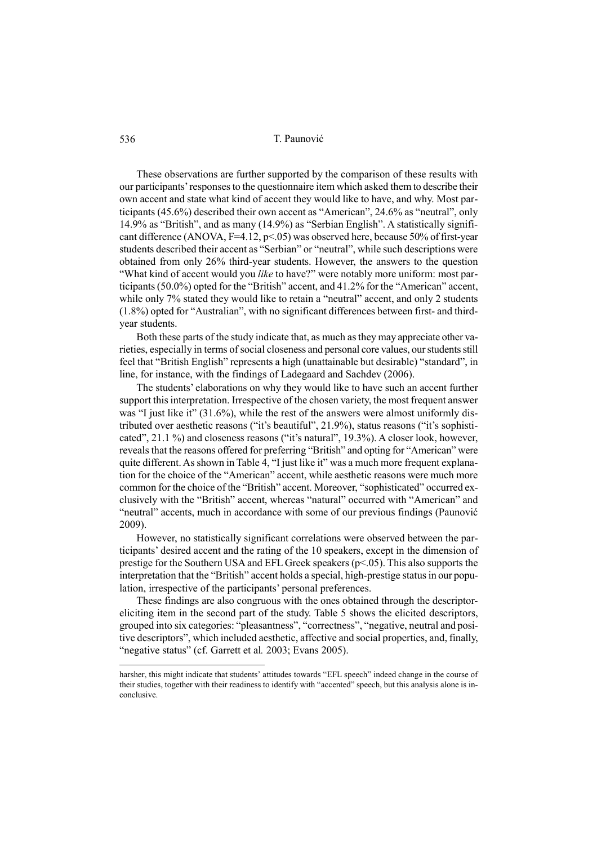These observations are further supported by the comparison of these results with our participants' responses to the questionnaire item which asked them to describe their own accent and state what kind of accent they would like to have, and why. Most participants (45.6%) described their own accent as "American", 24.6% as "neutral", only 14.9% as "British", and as many (14.9%) as "Serbian English". A statistically significant difference (ANOVA,  $F=4.12$ ,  $p<0.05$ ) was observed here, because 50% of first-year students described their accent as "Serbian" or "neutral", while such descriptions were obtained from only 26% third-year students. However, the answers to the question "What kind of accent would you *like* to have?" were notably more uniform: most participants (50.0%) opted for the "British" accent, and 41.2% for the "American" accent, while only 7% stated they would like to retain a "neutral" accent, and only 2 students (1.8%) opted for "Australian", with no significant differences between first- and thirdyear students.

Both these parts of the study indicate that, as much as they may appreciate other varieties, especially in terms of social closeness and personal core values, our students still feel that "British English" represents a high (unattainable but desirable) "standard", in line, for instance, with the findings of Ladegaard and Sachdev (2006).

The students' elaborations on why they would like to have such an accent further support this interpretation. Irrespective of the chosen variety, the most frequent answer was "I just like it" (31.6%), while the rest of the answers were almost uniformly distributed over aesthetic reasons ("it's beautiful", 21.9%), status reasons ("it's sophisticated", 21.1 %) and closeness reasons ("it's natural", 19.3%). A closer look, however, reveals that the reasons offered for preferring "British" and opting for "American" were quite different. As shown in Table 4, "I just like it" was a much more frequent explanation for the choice of the "American" accent, while aesthetic reasons were much more common for the choice of the "British" accent. Moreover, "sophisticated" occurred exclusively with the "British" accent, whereas "natural" occurred with "American" and "neutral" accents, much in accordance with some of our previous findings (Paunović 2009).

However, no statistically significant correlations were observed between the participants' desired accent and the rating of the 10 speakers, except in the dimension of prestige for the Southern USA and EFL Greek speakers  $(p<0.05)$ . This also supports the interpretation that the "British" accent holds a special, high-prestige status in our population, irrespective of the participants' personal preferences.

These findings are also congruous with the ones obtained through the descriptoreliciting item in the second part of the study. Table 5 shows the elicited descriptors, grouped into six categories: "pleasantness", "correctness", "negative, neutral and positive descriptors", which included aesthetic, affective and social properties, and, finally, "negative status" (cf. Garrett et al*.* 2003; Evans 2005).

harsher, this might indicate that students' attitudes towards "EFL speech" indeed change in the course of their studies, together with their readiness to identify with "accented" speech, but this analysis alone is inconclusive.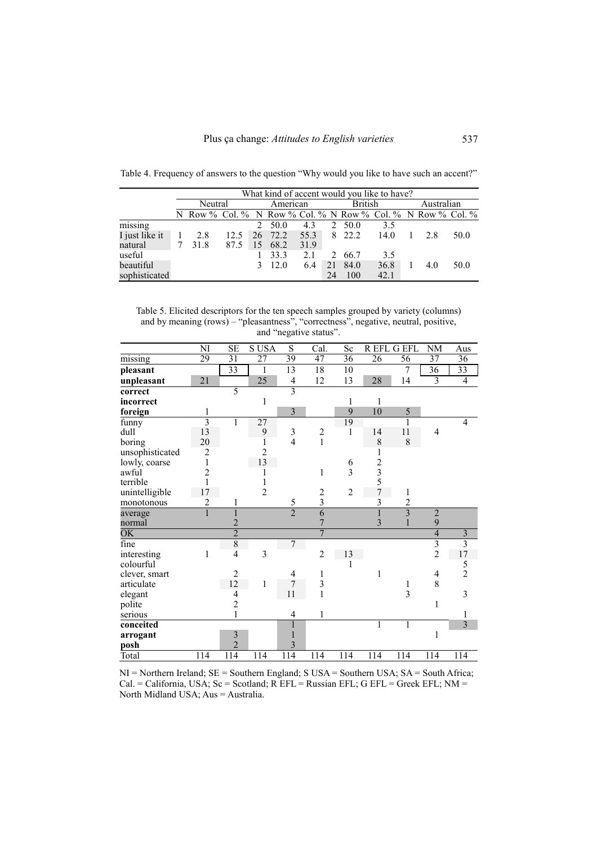|                |         | What kind of accent would you like to have?                 |      |               |          |      |             |                |      |  |            |      |  |
|----------------|---------|-------------------------------------------------------------|------|---------------|----------|------|-------------|----------------|------|--|------------|------|--|
|                | Neutral |                                                             |      |               | American |      |             | <b>British</b> |      |  | Australian |      |  |
|                |         | N Row % Col. % N Row % Col. % N Row % Col. % N Row % Col. % |      |               |          |      |             |                |      |  |            |      |  |
| missing        |         |                                                             |      | $2^{\circ}$   | 50.0     | 4.3  |             | 2 50.0         | 3.5  |  |            |      |  |
| I just like it |         | 2.8                                                         | 12.5 | 26            | 72.2     | 55.3 |             | 8 22.2         | 14.0 |  | 28         | 50.0 |  |
| natural        |         | 31.8                                                        | 87.5 | <sup>15</sup> | 68.2     | 31.9 |             |                |      |  |            |      |  |
| useful         |         |                                                             |      |               | 33.3     | 2.1  | $2^{\circ}$ | 66.7           | 3.5  |  |            |      |  |
| beautiful      |         |                                                             |      |               | 12.0     | 6.4  | 21          | 84.0           | 36.8 |  | 4.0        | 50.0 |  |
| sophisticated  |         |                                                             |      |               |          |      | 24          | 100            | 42.1 |  |            |      |  |

Table 4. Frequency of answers to the question "Why would you like to have such an accent?"

Table 5. Elicited descriptors for the ten speech samples grouped by variety (columns) and by meaning (rows) – "pleasantness", "correctness", negative, neutral, positive, and "negative status".

|                     | NI             | SE                       | <b>SUSA</b>     | S                        | Cal.                    | Sc                                    |                         | R EFL G EFL    | NM             | Aus                     |
|---------------------|----------------|--------------------------|-----------------|--------------------------|-------------------------|---------------------------------------|-------------------------|----------------|----------------|-------------------------|
| missing             | 29             | 31                       | 27              | 39                       | 47                      | 36                                    | 26                      | 56             | 37             | 36                      |
| pleasant            |                | $\overline{33}$          | $\mathbf{1}$    | 13                       | 18                      | 10                                    |                         | 7              | 36             | 33                      |
| unpleasant          | 21             |                          | 25              | $\overline{\mathcal{L}}$ | 12                      | 13                                    | 28                      | 14             | $\overline{3}$ | $\overline{4}$          |
| correct             |                | 5                        |                 | $\overline{3}$           |                         |                                       |                         |                |                |                         |
| incorrect           |                |                          | $\mathbf{1}$    |                          |                         | 1                                     | 1                       |                |                |                         |
| foreign             | 1              |                          |                 | $\overline{3}$           |                         | 9                                     | 10                      | 5              |                |                         |
| funny               | $\overline{3}$ | 1                        | $\overline{27}$ |                          |                         | 19                                    |                         | 1              |                | $\overline{4}$          |
| dull                | 13             |                          | 9               | 3                        | $\frac{2}{1}$           | 1                                     | 14                      | 11             | $\overline{4}$ |                         |
| boring              | 20             |                          | 1               | $\overline{4}$           |                         |                                       | 8                       | $\,8\,$        |                |                         |
| unsophisticated     | $\overline{2}$ |                          | $\overline{2}$  |                          |                         |                                       | 1                       |                |                |                         |
| lowly, coarse       | $\mathbf{1}$   |                          | 13              |                          |                         | $\begin{array}{c} 6 \\ 3 \end{array}$ |                         |                |                |                         |
| awful               | $\overline{c}$ |                          | 1               |                          | 1                       |                                       | $\frac{2}{3}$           |                |                |                         |
| terrible            |                |                          | 1               |                          |                         |                                       |                         |                |                |                         |
| unintelligible      | 17             |                          | $\overline{2}$  |                          |                         | $\overline{c}$                        | 7                       | 1              |                |                         |
| monotonous          | $\overline{c}$ | 1                        |                 | 5                        | $\frac{2}{3}$           |                                       | $\overline{\mathbf{3}}$ | $\overline{c}$ |                |                         |
| average             | $\overline{1}$ |                          |                 | $\overline{2}$           | 6                       |                                       | $\overline{1}$          | $\overline{3}$ | $\overline{2}$ |                         |
| normal              |                | $\overline{c}$           |                 |                          | $\overline{7}$          |                                       | 3                       |                | 9              |                         |
| $\overline{\rm OK}$ |                | $\overline{2}$           |                 |                          | $\overline{7}$          |                                       |                         |                | $\overline{4}$ | 3                       |
| $\overline{$ fine   |                | $\sqrt{8}$               |                 | $\tau$                   |                         |                                       |                         |                | $\frac{3}{2}$  | $\overline{\mathbf{3}}$ |
| interesting         | 1              | 4                        | 3               |                          | $\overline{c}$          | 13                                    |                         |                |                | 17                      |
| colourful           |                |                          |                 |                          |                         | 1                                     |                         |                |                | $\frac{5}{2}$           |
| clever, smart       |                | $\overline{2}$           |                 | 4                        | 1                       |                                       | 1                       |                | 4              |                         |
| articulate          |                | 12                       | 1               | $\overline{7}$           | $\overline{\mathbf{3}}$ |                                       |                         | 1              | 8              |                         |
| elegant             |                | $\overline{\mathcal{L}}$ |                 | 11                       | $\mathbf{1}$            |                                       |                         | $\overline{3}$ |                | 3                       |
| polite              |                | $\overline{c}$           |                 |                          |                         |                                       |                         |                | 1              |                         |
| serious             |                | $\mathbf{1}$             |                 | 4                        | 1                       |                                       |                         |                |                |                         |
| conceited           |                |                          |                 | $\overline{1}$           |                         |                                       | $\mathbf{1}$            | $\mathbf{1}$   |                | $\overline{\mathbf{3}}$ |
| arrogant            |                | $\frac{3}{2}$            |                 | $\mathbf{1}$             |                         |                                       |                         |                | 1              |                         |
| posh                |                |                          |                 | 3                        |                         |                                       |                         |                |                |                         |
| Total               | 114            | 114                      | 114             | 114                      | 114                     | 114                                   | 114                     | 114            | 114            | 114                     |

NI = Northern Ireland; SE = Southern England; S USA = Southern USA; SA = South Africa; Cal. = California, USA; Sc = Scotland; R EFL = Russian EFL; G EFL = Greek EFL; NM = North Midland USA; Aus = Australia.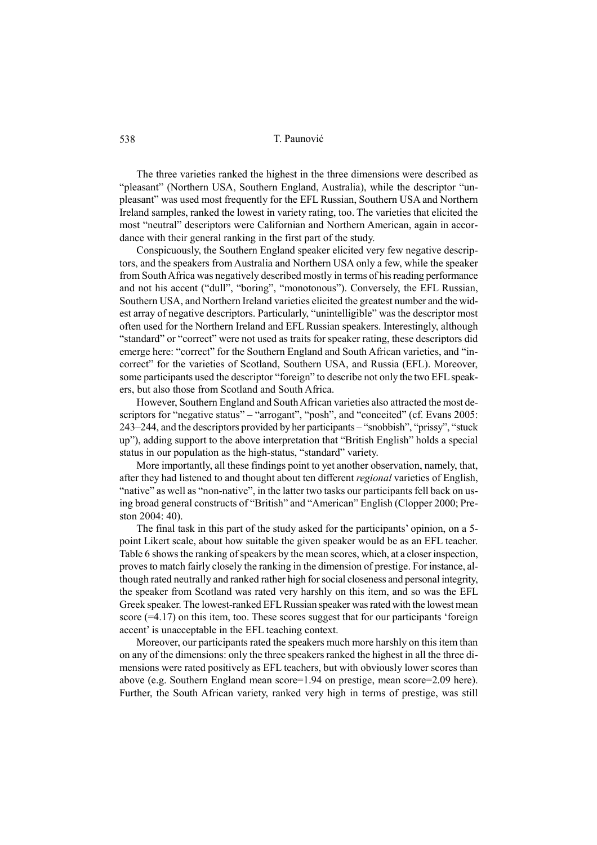The three varieties ranked the highest in the three dimensions were described as "pleasant" (Northern USA, Southern England, Australia), while the descriptor "unpleasant" was used most frequently for the EFL Russian, Southern USA and Northern Ireland samples, ranked the lowest in variety rating, too. The varieties that elicited the most "neutral" descriptors were Californian and Northern American, again in accordance with their general ranking in the first part of the study.

Conspicuously, the Southern England speaker elicited very few negative descriptors, and the speakers from Australia and Northern USA only a few, while the speaker from South Africa was negatively described mostly in terms of his reading performance and not his accent ("dull", "boring", "monotonous"). Conversely, the EFL Russian, Southern USA, and Northern Ireland varieties elicited the greatest number and the widest array of negative descriptors. Particularly, "unintelligible" was the descriptor most often used for the Northern Ireland and EFL Russian speakers. Interestingly, although "standard" or "correct" were not used as traits for speaker rating, these descriptors did emerge here: "correct" for the Southern England and South African varieties, and "incorrect" for the varieties of Scotland, Southern USA, and Russia (EFL). Moreover, some participants used the descriptor "foreign" to describe not only the two EFL speakers, but also those from Scotland and South Africa.

However, Southern England and South African varieties also attracted the most descriptors for "negative status" – "arrogant", "posh", and "conceited" (cf. Evans 2005: 243–244, and the descriptors provided by her participants – "snobbish", "prissy", "stuck up"), adding support to the above interpretation that "British English" holds a special status in our population as the high-status, "standard" variety.

More importantly, all these findings point to yet another observation, namely, that, after they had listened to and thought about ten different *regional* varieties of English, "native" as well as "non-native", in the latter two tasks our participants fell back on using broad general constructs of "British" and "American" English (Clopper 2000; Preston 2004: 40).

The final task in this part of the study asked for the participants' opinion, on a 5 point Likert scale, about how suitable the given speaker would be as an EFL teacher. Table 6 shows the ranking of speakers by the mean scores, which, at a closer inspection, proves to match fairly closely the ranking in the dimension of prestige. For instance, although rated neutrally and ranked rather high for social closeness and personal integrity, the speaker from Scotland was rated very harshly on this item, and so was the EFL Greek speaker. The lowest-ranked EFL Russian speaker was rated with the lowest mean score (=4.17) on this item, too. These scores suggest that for our participants 'foreign accent' is unacceptable in the EFL teaching context.

Moreover, our participants rated the speakers much more harshly on this item than on any of the dimensions: only the three speakers ranked the highest in all the three dimensions were rated positively as EFL teachers, but with obviously lower scores than above (e.g. Southern England mean score=1.94 on prestige, mean score=2.09 here). Further, the South African variety, ranked very high in terms of prestige, was still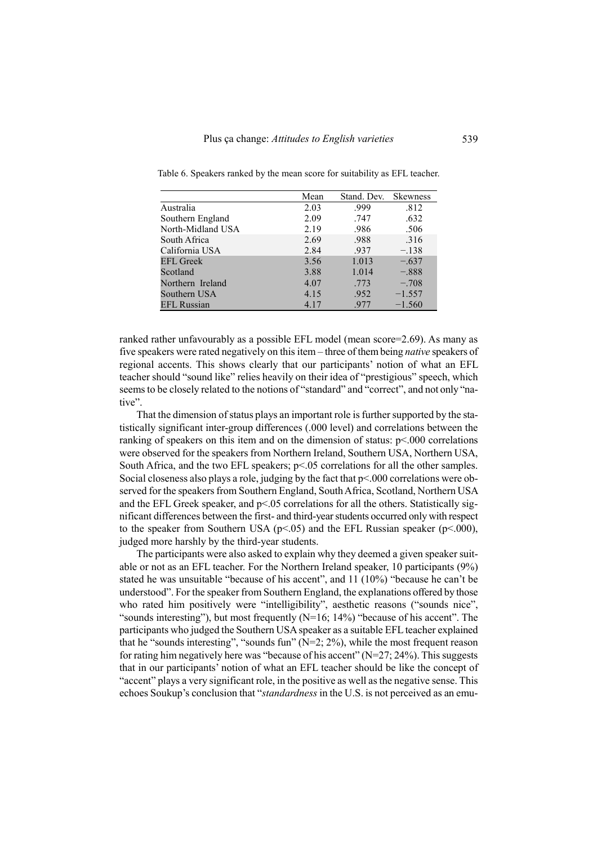|                    | Mean | Stand. Dev. | <b>Skewness</b> |
|--------------------|------|-------------|-----------------|
| Australia          | 2.03 | .999        | .812            |
| Southern England   | 2.09 | .747        | .632            |
| North-Midland USA  | 2.19 | .986        | .506            |
| South Africa       | 2.69 | .988        | .316            |
| California USA     | 2.84 | .937        | $-.138$         |
| <b>EFL Greek</b>   | 3.56 | 1.013       | $-.637$         |
| Scotland           | 3.88 | 1.014       | $-.888$         |
| Northern Ireland   | 4.07 | .773        | $-.708$         |
| Southern USA       | 4.15 | .952        | $-1.557$        |
| <b>EFL Russian</b> | 4.17 | .977        | $-1.560$        |

Table 6. Speakers ranked by the mean score for suitability as EFL teacher.

ranked rather unfavourably as a possible EFL model (mean score=2.69). As many as five speakers were rated negatively on this item – three of them being *native* speakers of regional accents. This shows clearly that our participants' notion of what an EFL teacher should "sound like" relies heavily on their idea of "prestigious" speech, which seems to be closely related to the notions of "standard" and "correct", and not only "native".

That the dimension of status plays an important role is further supported by the statistically significant inter-group differences (.000 level) and correlations between the ranking of speakers on this item and on the dimension of status:  $p<.000$  correlations were observed for the speakers from Northern Ireland, Southern USA, Northern USA, South Africa, and the two EFL speakers; p<.05 correlations for all the other samples. Social closeness also plays a role, judging by the fact that p<.000 correlations were observed for the speakers from Southern England, South Africa, Scotland, Northern USA and the EFL Greek speaker, and  $p<0.05$  correlations for all the others. Statistically significant differences between the first- and third-year students occurred only with respect to the speaker from Southern USA ( $p<05$ ) and the EFL Russian speaker ( $p<000$ ), judged more harshly by the third-year students.

The participants were also asked to explain why they deemed a given speaker suitable or not as an EFL teacher. For the Northern Ireland speaker, 10 participants (9%) stated he was unsuitable "because of his accent", and 11 (10%) "because he can't be understood". For the speaker from Southern England, the explanations offered by those who rated him positively were "intelligibility", aesthetic reasons ("sounds nice", "sounds interesting"), but most frequently (N=16; 14%) "because of his accent". The participants who judged the Southern USA speaker as a suitable EFL teacher explained that he "sounds interesting", "sounds fun" (N=2; 2%), while the most frequent reason for rating him negatively here was "because of his accent" (N=27; 24%). This suggests that in our participants' notion of what an EFL teacher should be like the concept of "accent" plays a very significant role, in the positive as well as the negative sense. This echoes Soukup's conclusion that "*standardness* in the U.S. is not perceived as an emu-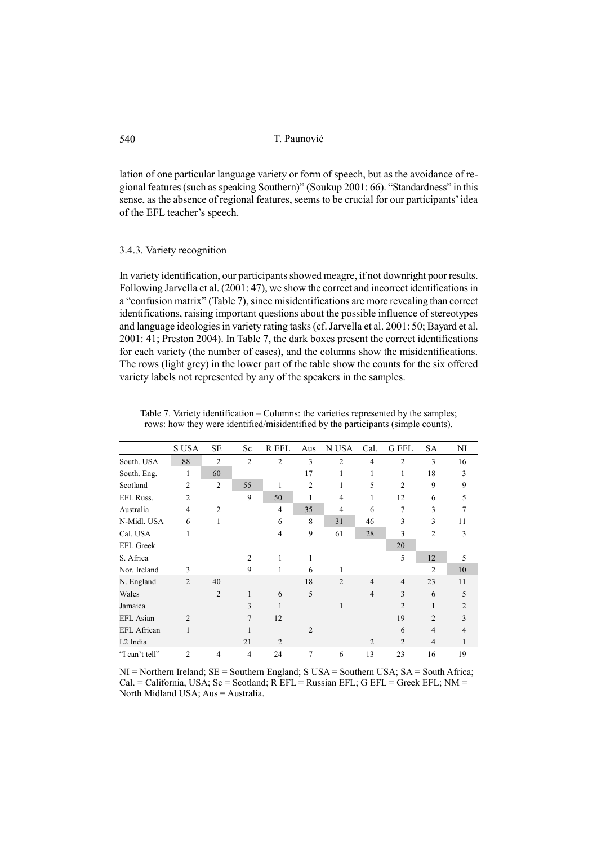lation of one particular language variety or form of speech, but as the avoidance of regional features (such as speaking Southern)" (Soukup 2001: 66). "Standardness" in this sense, as the absence of regional features, seems to be crucial for our participants' idea of the EFL teacher's speech.

# 3.4.3. Variety recognition

In variety identification, our participants showed meagre, if not downright poor results. Following Jarvella et al. (2001: 47), we show the correct and incorrect identifications in a "confusion matrix" (Table 7), since misidentifications are more revealing than correct identifications, raising important questions about the possible influence of stereotypes and language ideologies in variety rating tasks (cf. Jarvella et al. 2001: 50; Bayard et al. 2001: 41; Preston 2004). In Table 7, the dark boxes present the correct identifications for each variety (the number of cases), and the columns show the misidentifications. The rows (light grey) in the lower part of the table show the counts for the six offered variety labels not represented by any of the speakers in the samples.

|                      | <b>S USA</b>   | <b>SE</b>      | Sc             | R EFL          | Aus            | N USA          | Cal.           | G EFL          | <b>SA</b>      | NI             |
|----------------------|----------------|----------------|----------------|----------------|----------------|----------------|----------------|----------------|----------------|----------------|
| South. USA           | 88             | $\overline{2}$ | $\overline{2}$ | $\overline{2}$ | 3              | $\overline{2}$ | $\overline{4}$ | $\overline{2}$ | 3              | 16             |
| South. Eng.          | 1              | 60             |                |                | 17             | 1              |                | 1              | 18             | 3              |
| Scotland             | $\overline{2}$ | $\overline{2}$ | 55             | 1              | 2              | 1              | 5              | $\overline{c}$ | 9              | 9              |
| <b>EFL Russ.</b>     | $\overline{2}$ |                | 9              | 50             | 1              | $\overline{4}$ |                | 12             | 6              | 5              |
| Australia            | 4              | $\overline{2}$ |                | $\overline{4}$ | 35             | 4              | 6              | 7              | 3              | 7              |
| N-Midl. USA          | 6              | 1              |                | 6              | 8              | 31             | 46             | 3              | 3              | 11             |
| Cal. USA             | 1              |                |                | $\overline{4}$ | 9              | 61             | 28             | 3              | 2              | 3              |
| <b>EFL Greek</b>     |                |                |                |                |                |                |                | 20             |                |                |
| S. Africa            |                |                | $\overline{2}$ | 1              | 1              |                |                | 5              | 12             | 5              |
| Nor. Ireland         | 3              |                | 9              |                | 6              |                |                |                | $\overline{2}$ | 10             |
| N. England           | $\overline{2}$ | 40             |                |                | 18             | $\overline{c}$ | $\overline{4}$ | $\overline{4}$ | 23             | 11             |
| Wales                |                | $\overline{2}$ | 1              | 6              | 5              |                | $\overline{4}$ | 3              | 6              | 5              |
| Jamaica              |                |                | 3              |                |                | 1              |                | $\mathfrak{D}$ | 1              | $\mathfrak{D}$ |
| <b>EFL</b> Asian     | $\overline{2}$ |                | $\overline{7}$ | 12             |                |                |                | 19             | $\mathfrak{D}$ | 3              |
| <b>EFL</b> African   | 1              |                |                |                | $\overline{c}$ |                |                | 6              | 4              | 4              |
| L <sub>2</sub> India |                |                | 21             | $\mathfrak{D}$ |                |                | $\mathfrak{D}$ | $\mathfrak{D}$ | 4              |                |
| "I can't tell"       | $\overline{2}$ | 4              | 4              | 24             | 7              | 6              | 13             | 23             | 16             | 19             |

Table 7. Variety identification – Columns: the varieties represented by the samples; rows: how they were identified/misidentified by the participants (simple counts).

 $NI =$  Northern Ireland;  $SE =$  Southern England; S USA = Southern USA;  $SA =$  South Africa;  $Cal. = California, USA; Sc = Scotland; R EFL = Russian EFL; G EFL = Greek EFL; NM =$ North Midland USA; Aus = Australia.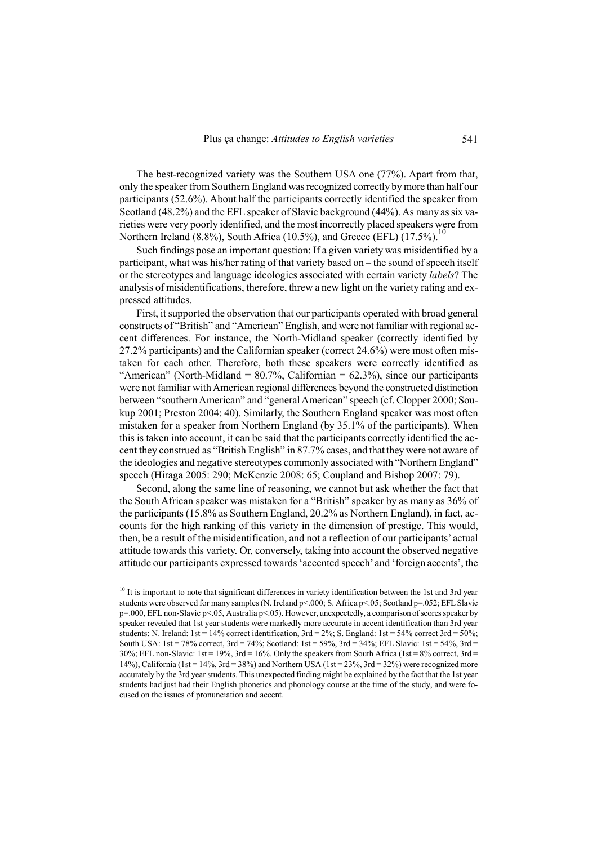The best-recognized variety was the Southern USA one (77%). Apart from that, only the speaker from Southern England was recognized correctly by more than half our participants (52.6%). About half the participants correctly identified the speaker from Scotland (48.2%) and the EFL speaker of Slavic background (44%). As many as six varieties were very poorly identified, and the most incorrectly placed speakers were from Northern Ireland (8.8%), South Africa (10.5%), and Greece (EFL) (17.5%).<sup>10</sup>

Such findings pose an important question: If a given variety was misidentified by a participant, what was his/her rating of that variety based on – the sound of speech itself or the stereotypes and language ideologies associated with certain variety *labels*? The analysis of misidentifications, therefore, threw a new light on the variety rating and expressed attitudes.

First, it supported the observation that our participants operated with broad general constructs of "British" and "American" English, and were not familiar with regional accent differences. For instance, the North-Midland speaker (correctly identified by 27.2% participants) and the Californian speaker (correct 24.6%) were most often mistaken for each other. Therefore, both these speakers were correctly identified as "American" (North-Midland =  $80.7\%$ , Californian =  $62.3\%$ ), since our participants were not familiar with American regional differences beyond the constructed distinction between "southern American" and "general American" speech (cf. Clopper 2000; Soukup 2001; Preston 2004: 40). Similarly, the Southern England speaker was most often mistaken for a speaker from Northern England (by 35.1% of the participants). When this is taken into account, it can be said that the participants correctly identified the accent they construed as "British English" in 87.7% cases, and that they were not aware of the ideologies and negative stereotypes commonly associated with "Northern England" speech (Hiraga 2005: 290; McKenzie 2008: 65; Coupland and Bishop 2007: 79).

Second, along the same line of reasoning, we cannot but ask whether the fact that the South African speaker was mistaken for a "British" speaker by as many as 36% of the participants (15.8% as Southern England, 20.2% as Northern England), in fact, accounts for the high ranking of this variety in the dimension of prestige. This would, then, be a result of the misidentification, and not a reflection of our participants' actual attitude towards this variety. Or, conversely, taking into account the observed negative attitude our participants expressed towards 'accented speech' and 'foreign accents', the

<sup>&</sup>lt;sup>10</sup> It is important to note that significant differences in variety identification between the 1st and 3rd year students were observed for many samples (N. Ireland p<.000; S. Africa p<.05; Scotland p=.052; EFL Slavic p=.000, EFL non-Slavic p<.05, Australia p<.05). However, unexpectedly, a comparison of scores speaker by speaker revealed that 1st year students were markedly more accurate in accent identification than 3rd year students: N. Ireland: 1st = 14% correct identification,  $3rd = 2\%$ ; S. England: 1st = 54% correct  $3rd = 50\%$ ; South USA:  $1st = 78\%$  correct,  $3rd = 74\%$ ; Scotland:  $1st = 59\%$ ,  $3rd = 34\%$ ; EFL Slavic:  $1st = 54\%$ ,  $3rd =$  $30\%$ ; EFL non-Slavic: 1st = 19%,  $3rd = 16\%$ . Only the speakers from South Africa (1st = 8% correct,  $3rd =$ 14%), California (1st = 14%, 3rd = 38%) and Northern USA (1st = 23%, 3rd = 32%) were recognized more accurately by the 3rd year students. This unexpected finding might be explained by the fact that the 1st year students had just had their English phonetics and phonology course at the time of the study, and were focused on the issues of pronunciation and accent.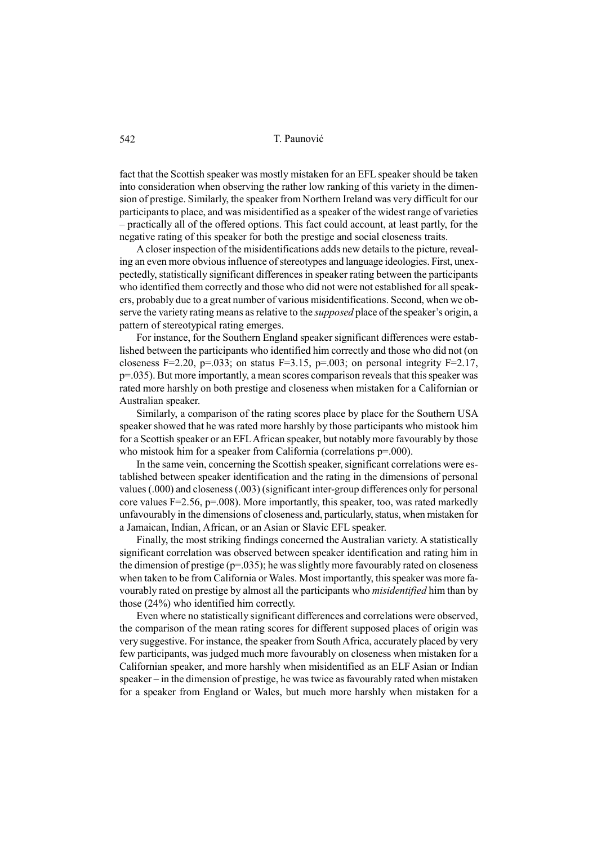fact that the Scottish speaker was mostly mistaken for an EFL speaker should be taken into consideration when observing the rather low ranking of this variety in the dimension of prestige. Similarly, the speaker from Northern Ireland was very difficult for our participants to place, and was misidentified as a speaker of the widest range of varieties – practically all of the offered options. This fact could account, at least partly, for the negative rating of this speaker for both the prestige and social closeness traits.

A closer inspection of the misidentifications adds new details to the picture, revealing an even more obvious influence of stereotypes and language ideologies. First, unexpectedly, statistically significant differences in speaker rating between the participants who identified them correctly and those who did not were not established for all speakers, probably due to a great number of various misidentifications. Second, when we observe the variety rating means as relative to the *supposed* place of the speaker's origin, a pattern of stereotypical rating emerges.

For instance, for the Southern England speaker significant differences were established between the participants who identified him correctly and those who did not (on closeness F=2.20, p=.033; on status F=3.15, p=.003; on personal integrity F=2.17, p=.035). But more importantly, a mean scores comparison reveals that this speaker was rated more harshly on both prestige and closeness when mistaken for a Californian or Australian speaker.

Similarly, a comparison of the rating scores place by place for the Southern USA speaker showed that he was rated more harshly by those participants who mistook him for a Scottish speaker or an EFL African speaker, but notably more favourably by those who mistook him for a speaker from California (correlations  $p=000$ ).

In the same vein, concerning the Scottish speaker, significant correlations were established between speaker identification and the rating in the dimensions of personal values (.000) and closeness (.003) (significant inter-group differences only for personal core values F=2.56,  $p=0.08$ ). More importantly, this speaker, too, was rated markedly unfavourably in the dimensions of closeness and, particularly, status, when mistaken for a Jamaican, Indian, African, or an Asian or Slavic EFL speaker.

Finally, the most striking findings concerned the Australian variety. A statistically significant correlation was observed between speaker identification and rating him in the dimension of prestige  $(p=.035)$ ; he was slightly more favourably rated on closeness when taken to be from California or Wales. Most importantly, this speaker was more favourably rated on prestige by almost all the participants who *misidentified* him than by those (24%) who identified him correctly.

Even where no statistically significant differences and correlations were observed, the comparison of the mean rating scores for different supposed places of origin was very suggestive. For instance, the speaker from South Africa, accurately placed by very few participants, was judged much more favourably on closeness when mistaken for a Californian speaker, and more harshly when misidentified as an ELF Asian or Indian speaker – in the dimension of prestige, he was twice as favourably rated when mistaken for a speaker from England or Wales, but much more harshly when mistaken for a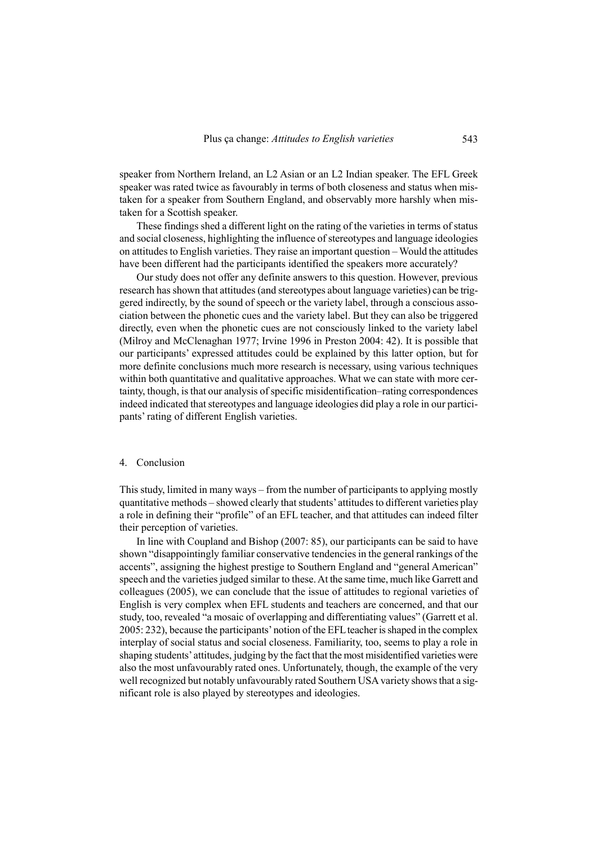speaker from Northern Ireland, an L2 Asian or an L2 Indian speaker. The EFL Greek speaker was rated twice as favourably in terms of both closeness and status when mistaken for a speaker from Southern England, and observably more harshly when mistaken for a Scottish speaker.

These findings shed a different light on the rating of the varieties in terms of status and social closeness, highlighting the influence of stereotypes and language ideologies on attitudes to English varieties. They raise an important question – Would the attitudes have been different had the participants identified the speakers more accurately?

Our study does not offer any definite answers to this question. However, previous research has shown that attitudes (and stereotypes about language varieties) can be triggered indirectly, by the sound of speech or the variety label, through a conscious association between the phonetic cues and the variety label. But they can also be triggered directly, even when the phonetic cues are not consciously linked to the variety label (Milroy and McClenaghan 1977; Irvine 1996 in Preston 2004: 42). It is possible that our participants' expressed attitudes could be explained by this latter option, but for more definite conclusions much more research is necessary, using various techniques within both quantitative and qualitative approaches. What we can state with more certainty, though, is that our analysis of specific misidentification–rating correspondences indeed indicated that stereotypes and language ideologies did play a role in our participants' rating of different English varieties.

### 4. Conclusion

This study, limited in many ways – from the number of participants to applying mostly quantitative methods – showed clearly that students' attitudes to different varieties play a role in defining their "profile" of an EFL teacher, and that attitudes can indeed filter their perception of varieties.

In line with Coupland and Bishop (2007: 85), our participants can be said to have shown "disappointingly familiar conservative tendencies in the general rankings of the accents", assigning the highest prestige to Southern England and "general American" speech and the varieties judged similar to these. At the same time, much like Garrett and colleagues (2005), we can conclude that the issue of attitudes to regional varieties of English is very complex when EFL students and teachers are concerned, and that our study, too, revealed "a mosaic of overlapping and differentiating values" (Garrett et al. 2005: 232), because the participants' notion of the EFL teacher is shaped in the complex interplay of social status and social closeness. Familiarity, too, seems to play a role in shaping students' attitudes, judging by the fact that the most misidentified varieties were also the most unfavourably rated ones. Unfortunately, though, the example of the very well recognized but notably unfavourably rated Southern USA variety shows that a significant role is also played by stereotypes and ideologies.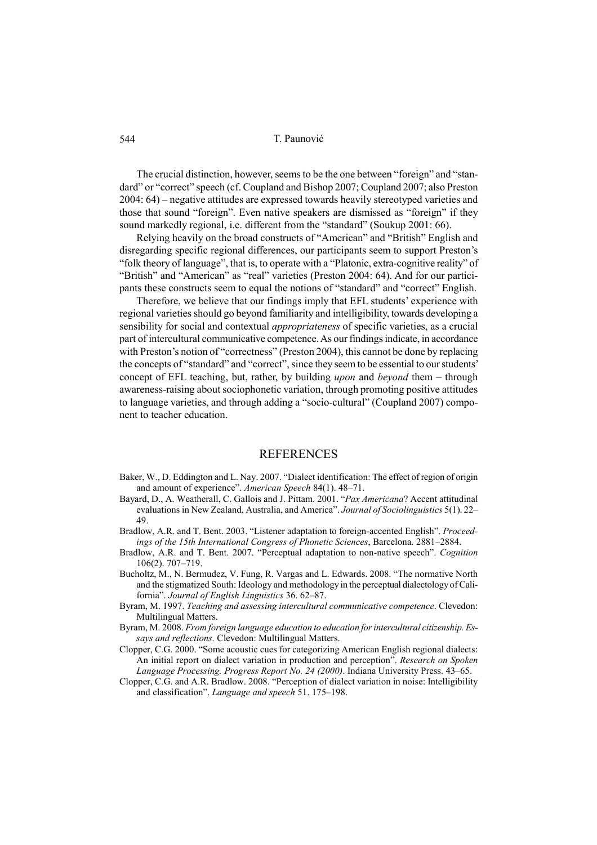The crucial distinction, however, seems to be the one between "foreign" and "standard" or "correct" speech (cf. Coupland and Bishop 2007; Coupland 2007; also Preston 2004: 64) – negative attitudes are expressed towards heavily stereotyped varieties and those that sound "foreign". Even native speakers are dismissed as "foreign" if they sound markedly regional, i.e. different from the "standard" (Soukup 2001: 66).

Relying heavily on the broad constructs of "American" and "British" English and disregarding specific regional differences, our participants seem to support Preston's "folk theory of language", that is, to operate with a "Platonic, extra-cognitive reality" of "British" and "American" as "real" varieties (Preston 2004: 64). And for our participants these constructs seem to equal the notions of "standard" and "correct" English.

Therefore, we believe that our findings imply that EFL students' experience with regional varieties should go beyond familiarity and intelligibility, towards developing a sensibility for social and contextual *appropriateness* of specific varieties, as a crucial part of intercultural communicative competence. As our findings indicate, in accordance with Preston's notion of "correctness" (Preston 2004), this cannot be done by replacing the concepts of "standard" and "correct", since they seem to be essential to our students' concept of EFL teaching, but, rather, by building *upon* and *beyond* them – through awareness-raising about sociophonetic variation, through promoting positive attitudes to language varieties, and through adding a "socio-cultural" (Coupland 2007) component to teacher education.

# **REFERENCES**

- Baker, W., D. Eddington and L. Nay. 2007. "Dialect identification: The effect of region of origin and amount of experience". *American Speech* 84(1). 48–71.
- Bayard, D., A. Weatherall, C. Gallois and J. Pittam. 2001. "*Pax Americana*? Accent attitudinal evaluations in New Zealand, Australia, and America". *Journal of Sociolinguistics* 5(1). 22– 49.
- Bradlow, A.R. and T. Bent. 2003. "Listener adaptation to foreign-accented English". *Proceedings of the 15th International Congress of Phonetic Sciences*, Barcelona. 2881–2884.
- Bradlow, A.R. and T. Bent. 2007. "Perceptual adaptation to non-native speech". *Cognition* 106(2). 707–719.
- Bucholtz, M., N. Bermudez, V. Fung, R. Vargas and L. Edwards. 2008. "The normative North and the stigmatized South: Ideology and methodology in the perceptual dialectology of California". *Journal of English Linguistics* 36. 62–87.
- Byram, M. 1997. *Teaching and assessing intercultural communicative competence*. Clevedon: Multilingual Matters.
- Byram, M. 2008. *From foreign language education to education for intercultural citizenship. Essays and reflections.* Clevedon: Multilingual Matters.
- Clopper, C.G. 2000. "Some acoustic cues for categorizing American English regional dialects: An initial report on dialect variation in production and perception". *Research on Spoken Language Processing. Progress Report 4o. 24 (2000)*. Indiana University Press. 43–65.
- Clopper, C.G. and A.R. Bradlow. 2008. "Perception of dialect variation in noise: Intelligibility and classification". *Language and speech* 51. 175–198.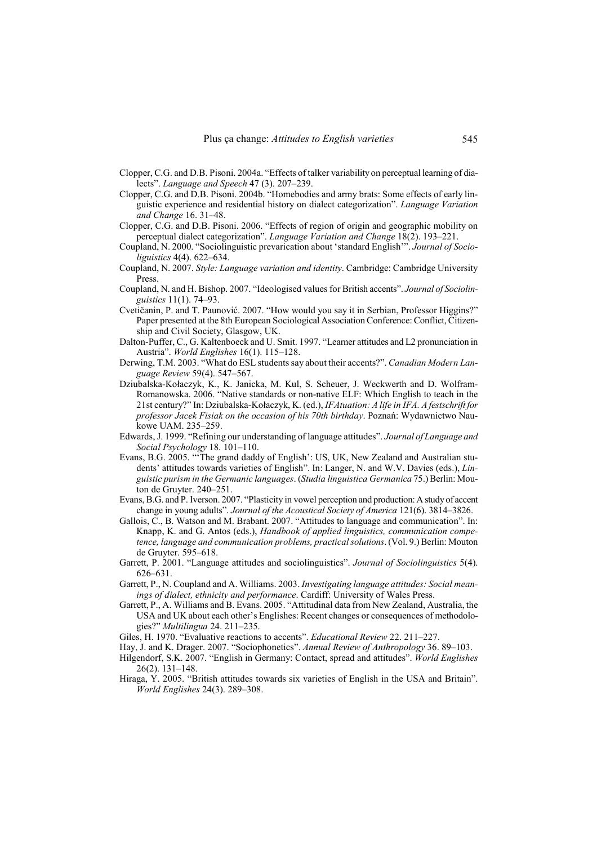- Clopper, C.G. and D.B. Pisoni. 2004a. "Effects of talker variability on perceptual learning of dialects". *Language and Speech* 47 (3). 207–239.
- Clopper, C.G. and D.B. Pisoni. 2004b. "Homebodies and army brats: Some effects of early linguistic experience and residential history on dialect categorization". *Language Variation and Change* 16. 31–48.
- Clopper, C.G. and D.B. Pisoni. 2006. "Effects of region of origin and geographic mobility on perceptual dialect categorization". *Language Variation and Change* 18(2). 193–221.
- Coupland, N. 2000. "Sociolinguistic prevarication about 'standard English'". *Journal of Socioliguistics* 4(4). 622–634.
- Coupland, N. 2007. *Style: Language variation and identity*. Cambridge: Cambridge University Press.
- Coupland, N. and H. Bishop. 2007. "Ideologised values for British accents". *Journal of Sociolinguistics* 11(1). 74–93.
- Cvetičanin, P. and T. Paunović. 2007. "How would you say it in Serbian, Professor Higgins?" Paper presented at the 8th European Sociological Association Conference: Conflict, Citizenship and Civil Society, Glasgow, UK.
- Dalton-Puffer, C., G. Kaltenboeck and U. Smit. 1997. "Learner attitudes and L2 pronunciation in Austria". *World Englishes* 16(1). 115–128.
- Derwing, T.M. 2003. "What do ESL students say about their accents?". *Canadian Modern Language Review* 59(4). 547–567.
- Dziubalska-Kołaczyk, K., K. Janicka, M. Kul, S. Scheuer, J. Weckwerth and D. Wolfram-Romanowska. 2006. "Native standards or non-native ELF: Which English to teach in the 21st century?" In: Dziubalska-Kołaczyk, K. (ed.), *IFAtuation: A life in IFA. A festschrift for professor Jacek Fisiak on the occasion of his 70th birthday*. Poznań: Wydawnictwo Naukowe UAM. 235–259.
- Edwards, J. 1999. "Refining our understanding of language attitudes". *Journal of Language and Social Psychology* 18. 101–110.
- Evans, B.G. 2005. "'The grand daddy of English': US, UK, New Zealand and Australian students' attitudes towards varieties of English". In: Langer, N. and W.V. Davies (eds.), *Linguistic purism in the Germanic languages*. (*Studia linguistica Germanica* 75.) Berlin: Mouton de Gruyter. 240–251.
- Evans, B.G. and P. Iverson. 2007. "Plasticity in vowel perception and production: A study of accent change in young adults". *Journal of the Acoustical Society of America* 121(6). 3814–3826.
- Gallois, C., B. Watson and M. Brabant. 2007. "Attitudes to language and communication". In: Knapp, K. and G. Antos (eds.), *Handbook of applied linguistics, communication competence, language and communication problems, practical solutions*. (Vol. 9.) Berlin: Mouton de Gruyter. 595–618.
- Garrett, P. 2001. "Language attitudes and sociolinguistics". *Journal of Sociolinguistics* 5(4). 626–631.
- Garrett, P., N. Coupland and A. Williams. 2003. *Investigating language attitudes: Social meanings of dialect, ethnicity and performance*. Cardiff: University of Wales Press.
- Garrett, P., A. Williams and B. Evans. 2005. "Attitudinal data from New Zealand, Australia, the USA and UK about each other's Englishes: Recent changes or consequences of methodologies?" *Multilingua* 24. 211–235.
- Giles, H. 1970. "Evaluative reactions to accents". *Educational Review* 22. 211–227.
- Hay, J. and K. Drager. 2007. "Sociophonetics". *Annual Review of Anthropology* 36. 89–103.
- Hilgendorf, S.K. 2007. "English in Germany: Contact, spread and attitudes". *World Englishes* 26(2). 131–148.
- Hiraga, Y. 2005. "British attitudes towards six varieties of English in the USA and Britain". *World Englishes* 24(3). 289–308.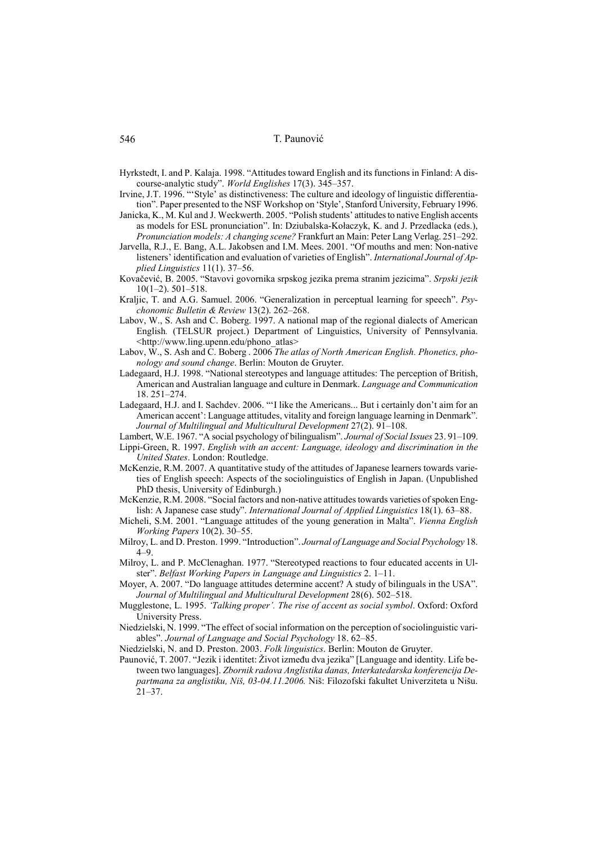Hyrkstedt, I. and P. Kalaja. 1998. "Attitudes toward English and its functions in Finland: A discourse-analytic study". *World Englishes* 17(3). 345–357.

- Irvine, J.T. 1996. "'Style' as distinctiveness: The culture and ideology of linguistic differentiation". Paper presented to the NSF Workshop on 'Style', Stanford University, February 1996.
- Janicka, K., M. Kul and J. Weckwerth. 2005. "Polish students' attitudes to native English accents as models for ESL pronunciation". In: Dziubalska-Kołaczyk, K. and J. Przedlacka (eds.), *Pronunciation models: A changing scene?* Frankfurt an Main: Peter Lang Verlag. 251–292.
- Jarvella, R.J., E. Bang, A.L. Jakobsen and I.M. Mees. 2001. "Of mouths and men: Non-native listeners' identification and evaluation of varieties of English". *International Journal of Applied Linguistics* 11(1). 37–56.
- Kovačević, B. 2005. "Stavovi govornika srpskog jezika prema stranim jezicima". *Srpski jezik* 10(1–2). 501–518.
- Kraljic, T. and A.G. Samuel. 2006. "Generalization in perceptual learning for speech". *Psychonomic Bulletin & Review* 13(2). 262–268.
- Labov, W., S. Ash and C. Boberg. 1997. A national map of the regional dialects of American English*.* (TELSUR project.) Department of Linguistics, University of Pennsylvania. <http://www.ling.upenn.edu/phono\_atlas>
- Labov, W., S. Ash and C. Boberg, 2006 *The atlas of North American English. Phonetics, phonology and sound change*. Berlin: Mouton de Gruyter.
- Ladegaard, H.J. 1998. "National stereotypes and language attitudes: The perception of British, American and Australian language and culture in Denmark. *Language and Communication* 18. 251–274.
- Ladegaard, H.J. and I. Sachdev. 2006. "'I like the Americans... But i certainly don't aim for an American accent': Language attitudes, vitality and foreign language learning in Denmark". *Journal of Multilingual and Multicultural Development* 27(2). 91–108.
- Lambert, W.E. 1967. "A social psychology of bilingualism". *Journal of Social Issues* 23. 91–109.
- Lippi-Green, R. 1997. *English with an accent: Language, ideology and discrimination in the United States*. London: Routledge.
- McKenzie, R.M. 2007. A quantitative study of the attitudes of Japanese learners towards varieties of English speech: Aspects of the sociolinguistics of English in Japan. (Unpublished PhD thesis, University of Edinburgh.)
- McKenzie, R.M. 2008. "Social factors and non-native attitudes towards varieties of spoken English: A Japanese case study". *International Journal of Applied Linguistics* 18(1). 63–88.
- Micheli, S.M. 2001. "Language attitudes of the young generation in Malta". *Vienna English Working Papers* 10(2). 30–55.
- Milroy, L. and D. Preston. 1999. "Introduction". *Journal of Language and Social Psychology* 18. 4–9.
- Milroy, L. and P. McClenaghan. 1977. "Stereotyped reactions to four educated accents in Ulster". *Belfast Working Papers in Language and Linguistics* 2. 1–11.
- Moyer, A. 2007. "Do language attitudes determine accent? A study of bilinguals in the USA". *Journal of Multilingual and Multicultural Development* 28(6). 502–518.
- Mugglestone, L. 1995. *'Talking proper'. The rise of accent as social symbol*. Oxford: Oxford University Press.
- Niedzielski, N. 1999. "The effect of social information on the perception of sociolinguistic variables". *Journal of Language and Social Psychology* 18. 62–85.
- Niedzielski, N. and D. Preston. 2003. *Folk linguistics*. Berlin: Mouton de Gruyter.
- Paunović, T. 2007. "Jezik i identitet: Život između dva jezika" [Language and identity. Life between two languages]. *Zbornik radova Anglistika danas, Interkatedarska konferencija Departmana za anglistiku, 4iš, 03-04.11.2006.* Niš: Filozofski fakultet Univerziteta u Nišu. 21–37.